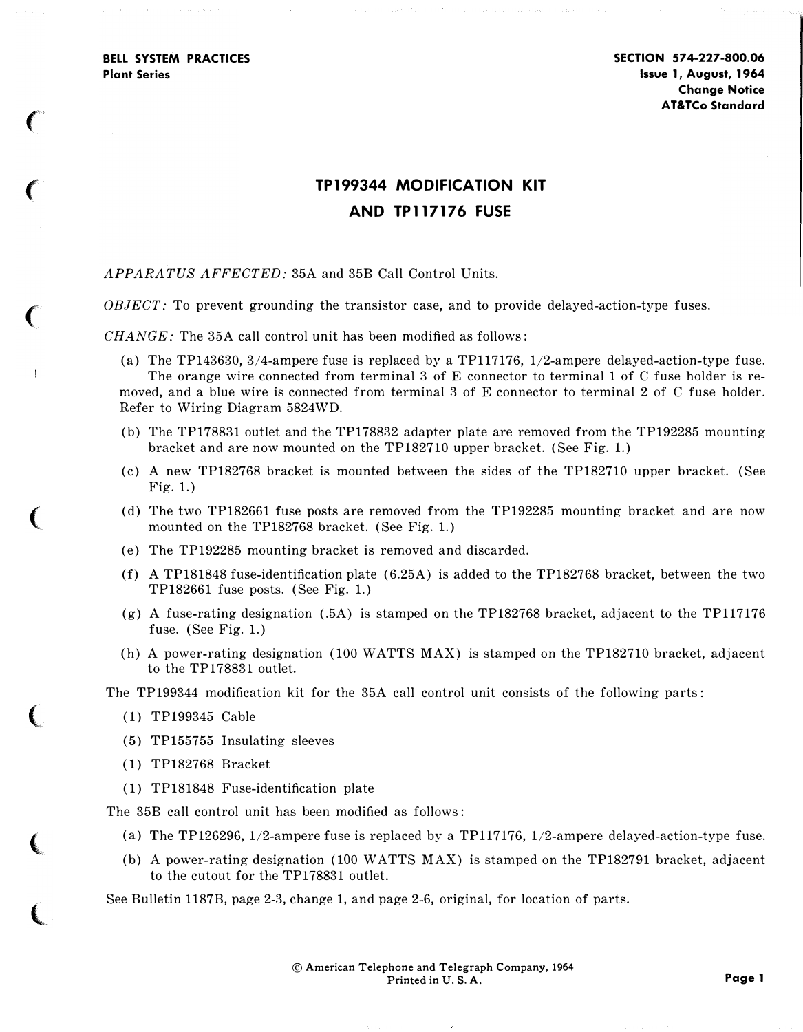BELL SYSTEM PRACTICES Plant Series

 $\epsilon$ 

 $\big($ 

 $\big($ 

 $\overline{1}$ 

(

 $\big($ 

 $\overline{\mathbb{C}}$ 

 $\big($ 

## TP 199344 MODIFICATION KIT AND TP117176 FUSE

## APPARATUS AFFECTED: 35A and 35B Call Control Units.

OBJECT: To prevent grounding the transistor case, and to provide delayed-action-type fuses.

 $CHANGE$ : The 35A call control unit has been modified as follows:

- (a) The TP143630, 3/4-ampere fuse is replaced by a TP117176, 1/2-ampere delayed-action-type fuse. The orange wire connected from terminal 3 of E connector to terminal 1 of C fuse holder is removed, and a blue wire is connected from terminal 3 of E connector to terminal 2 of C fuse holder. Refer to Wiring Diagram 5824WD.
- (b) The TP178831 outlet and the TP178832 adapter plate are removed from the TP192285 mounting bracket and are now mounted on the TP182710 upper bracket. (See Fig. 1.)
- (c) A new TP182768 bracket is mounted between the sides of the TP182710 upper bracket. (See Fig. 1.)
- (d) The two TP182661 fuse posts are removed from the TP192285 mounting bracket and are now mounted on the TP182768 bracket. (See Fig. 1.)
- (e) The TP192285 mounting bracket is removed and discarded.
- (f) A TP181848 fuse-identification plate (6.25A) is added to the TP182768 bracket, between the two TP182661 fuse posts. (See Fig. 1.)
- (g) A fuse-rating designation (.5A) is stamped on the TP182768 bracket, adjacent to the TP117176 fuse. (See Fig. 1.)
- (h) A power-rating designation (100 WATTS MAX) is stamped on the TP182710 bracket, adjacent to the TP178831 outlet.

The TP199344 modification kit for the 35A call control unit consists of the following parts:

- (1) TP199345 Cable
- (5) TP155755 Insulating sleeves
- ( 1) TP182768 Bracket
- (1) TP181848 Fuse-identification plate

The 35B call control unit has been modified as follows:

- (a) The TP126296, 1/2-ampere fuse is replaced by a TP117176, 1/2-ampere delayed-action-type fuse.
- (b) A power-rating designation (100 WATTS MAX) is stamped on the TP182791 bracket, adjacent to the cutout for the TP178831 outlet.

See Bulletin 1187B, page 2-3, change 1, and page 2-6, original, for location of parts.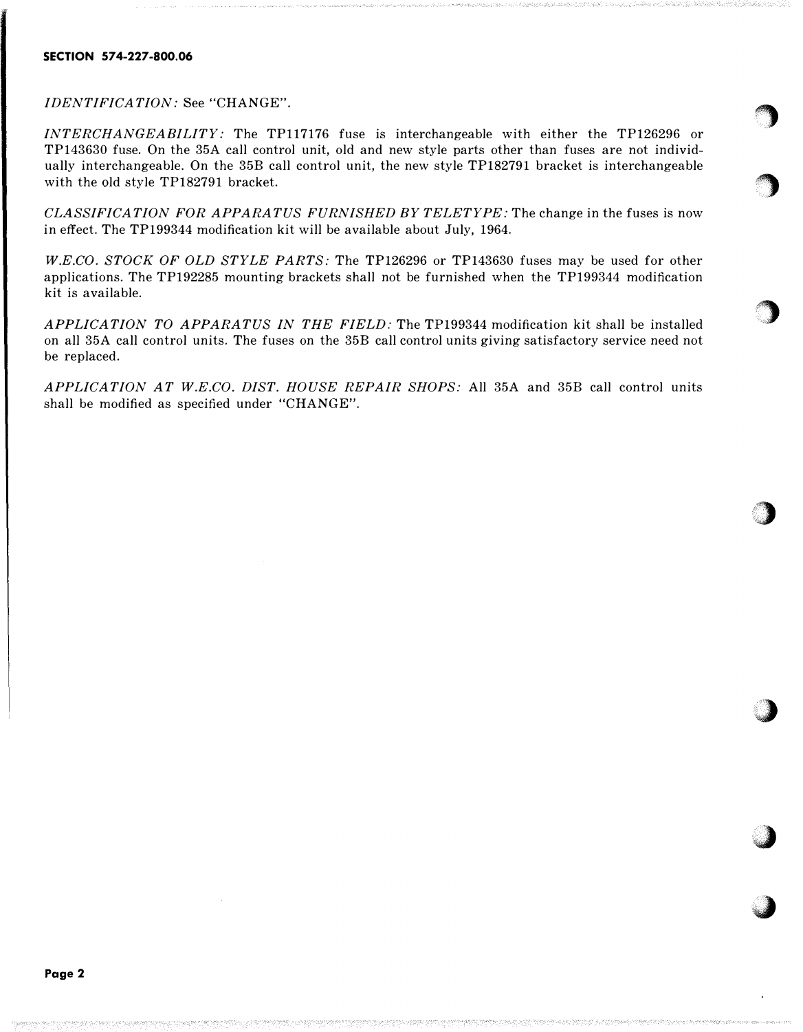## SECTION 574-227-800.06

IDENTIFICATION: See "CHANGE".

INTERCHANGEABILITY: The TP117176 fuse is interchangeable with either the TP126296 or TP143630 fuse. On the 35A call control unit, old and new style parts other than fuses are not individually interchangeable. On the 35B call control unit, the new style TP182791 bracket is interchangeable with the old style TP182791 bracket.

 $\bigcirc$ 

**by** 

**b** 

 $\bigcup$ . .. · ..

..• .� ... .

**a** 

·�

CLASSIFICATION FOR APPARATUS FURNISHED BY TELETYPE: The change in the fuses is now in effect. The TP199344 modification kit will be available about July, 1964.

W.E.CO. STOCK OF OLD STYLE PARTS: The TP126296 or TP143630 fuses may be used for other applications. The TP192285 mounting brackets shall not be furnished when the TP199344 modification kit is available.

APPLICATION TO APPARATUS IN THE FIELD: The TP199344 modification kit shall be installed on all 35A call control units. The fuses on the 35B call control units giving satisfactory service need not be replaced.

APPLICATION AT W.E.CO. DIST. HOUSE REPAIR SHOPS: All 35A and 35B call control units shall be modified as specified under "CHANGE".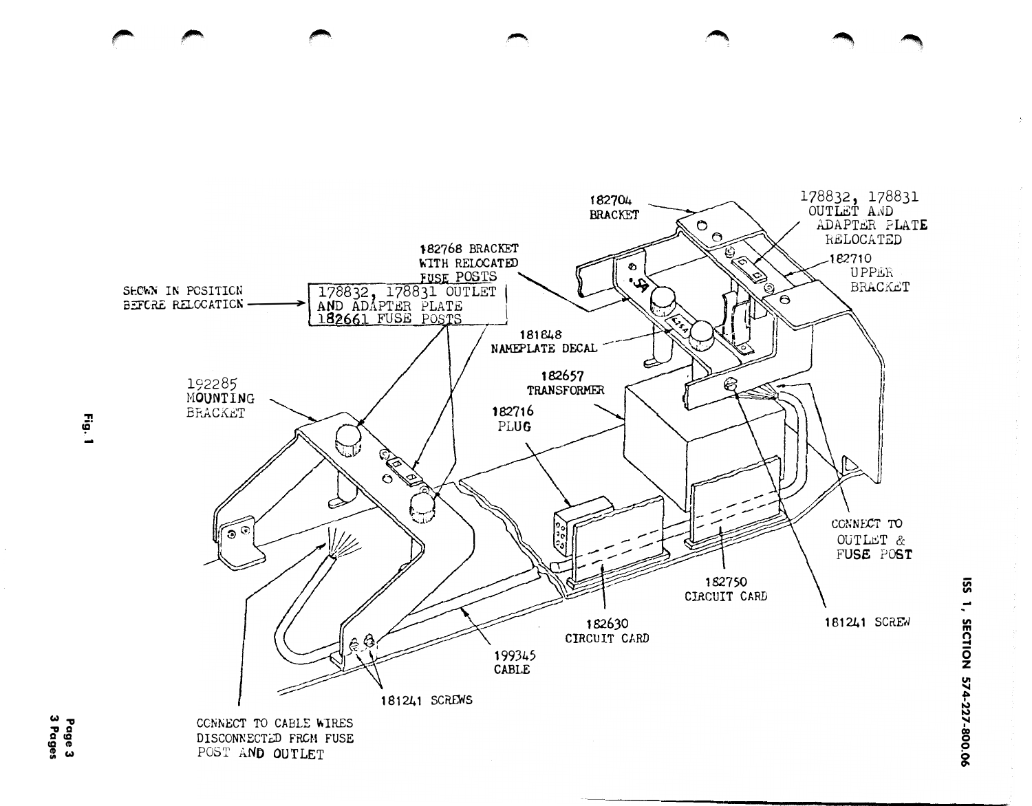

DISCONNECTED FROM FUSE POST AND OUTLET

1, SECTION 574-227-800.06

**SS1**